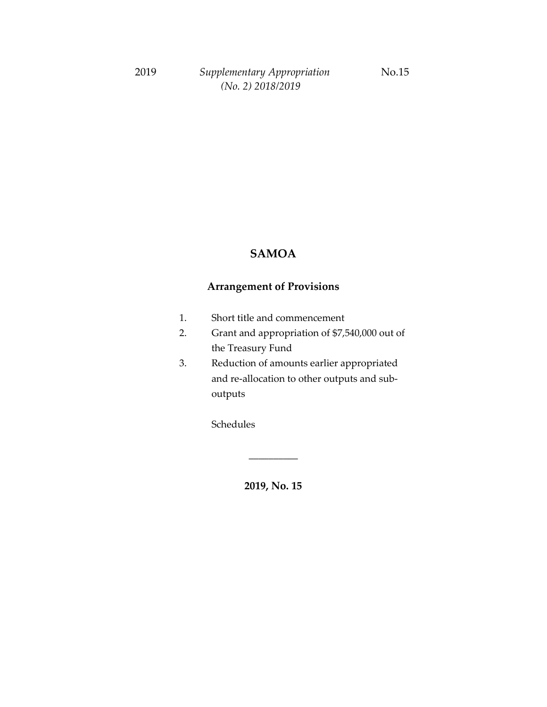#### **SAMOA**

### **Arrangement of Provisions**

- 1. Short title and commencement
- 2. Grant and appropriation of \$7,540,000 out of the Treasury Fund
- 3. Reduction of amounts earlier appropriated and re-allocation to other outputs and suboutputs

Schedules

**2019, No. 15**

\_\_\_\_\_\_\_\_\_\_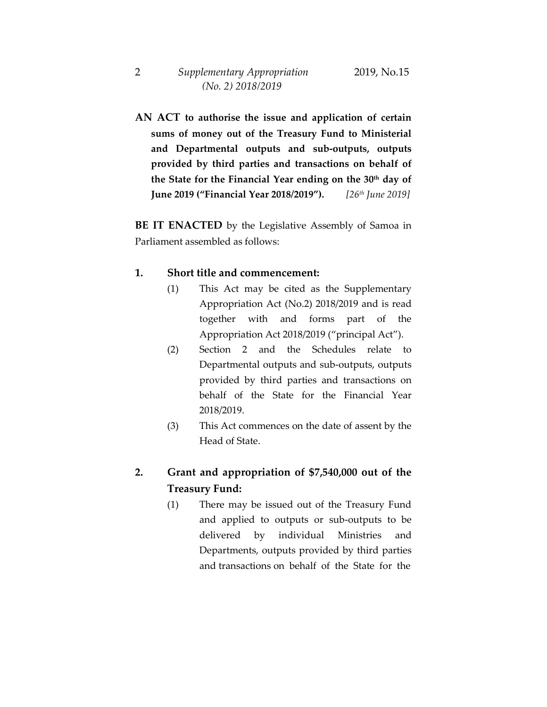**AN ACT to authorise the issue and application of certain sums of money out of the Treasury Fund to Ministerial and Departmental outputs and sub-outputs, outputs provided by third parties and transactions on behalf of the State for the Financial Year ending on the 30th day of June 2019 ("Financial Year 2018/2019").** *[26th June 2019]*

**BE IT ENACTED** by the Legislative Assembly of Samoa in Parliament assembled as follows:

#### **1. Short title and commencement:**

- (1) This Act may be cited as the Supplementary Appropriation Act (No.2) 2018/2019 and is read together with and forms part of the Appropriation Act 2018/2019 ("principal Act").
- (2) Section 2 and the Schedules relate to Departmental outputs and sub-outputs, outputs provided by third parties and transactions on behalf of the State for the Financial Year 2018/2019.
- (3) This Act commences on the date of assent by the Head of State.

## **2. Grant and appropriation of \$7,540,000 out of the Treasury Fund:**

(1) There may be issued out of the Treasury Fund and applied to outputs or sub-outputs to be delivered by individual Ministries and Departments, outputs provided by third parties and transactions on behalf of the State for the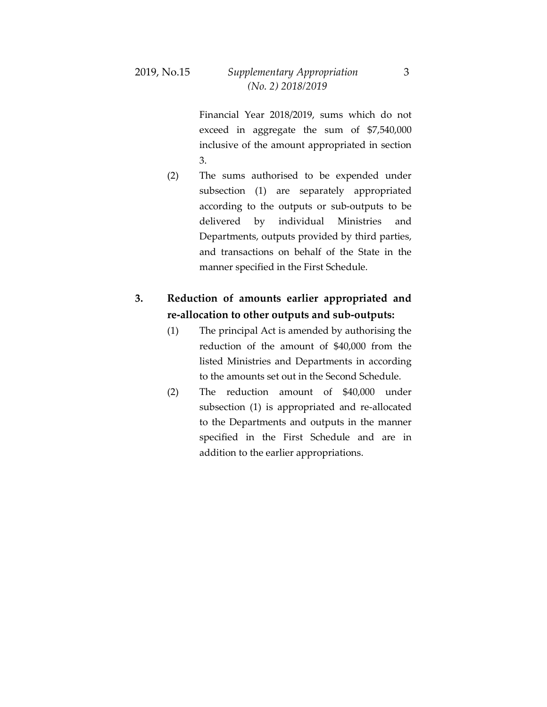Financial Year 2018/2019, sums which do not exceed in aggregate the sum of \$7,540,000 inclusive of the amount appropriated in section 3.

(2) The sums authorised to be expended under subsection (1) are separately appropriated according to the outputs or sub-outputs to be delivered by individual Ministries and Departments, outputs provided by third parties, and transactions on behalf of the State in the manner specified in the First Schedule.

## **3. Reduction of amounts earlier appropriated and re-allocation to other outputs and sub-outputs:**

- (1) The principal Act is amended by authorising the reduction of the amount of \$40,000 from the listed Ministries and Departments in according to the amounts set out in the Second Schedule.
- (2) The reduction amount of \$40,000 under subsection (1) is appropriated and re-allocated to the Departments and outputs in the manner specified in the First Schedule and are in addition to the earlier appropriations.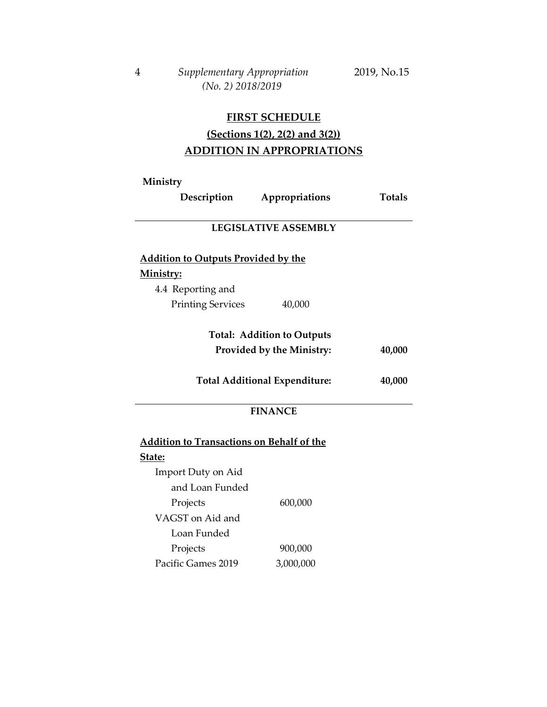### **FIRST SCHEDULE**

# **(Sections 1(2), 2(2) and 3(2)) ADDITION IN APPROPRIATIONS**

**Ministry**

Pacific Games 2019

| Description                                                | Appropriations                    | <b>Totals</b> |  |  |  |  |
|------------------------------------------------------------|-----------------------------------|---------------|--|--|--|--|
| <b>LEGISLATIVE ASSEMBLY</b>                                |                                   |               |  |  |  |  |
| <b>Addition to Outputs Provided by the</b>                 |                                   |               |  |  |  |  |
| Ministry:                                                  |                                   |               |  |  |  |  |
| 4.4 Reporting and                                          |                                   |               |  |  |  |  |
| <b>Printing Services</b>                                   | 40,000                            |               |  |  |  |  |
|                                                            | <b>Total: Addition to Outputs</b> |               |  |  |  |  |
| Provided by the Ministry:                                  |                                   | 40,000        |  |  |  |  |
| <b>Total Additional Expenditure:</b>                       |                                   | 40,000        |  |  |  |  |
|                                                            | <b>FINANCE</b>                    |               |  |  |  |  |
| <b>Addition to Transactions on Behalf of the</b><br>State: |                                   |               |  |  |  |  |
| Import Duty on Aid                                         |                                   |               |  |  |  |  |
| and Loan Funded                                            |                                   |               |  |  |  |  |
| Projects                                                   | 600,000                           |               |  |  |  |  |
| VAGST on Aid and                                           |                                   |               |  |  |  |  |
| Loan Funded                                                |                                   |               |  |  |  |  |
| Projects                                                   | 900,000                           |               |  |  |  |  |
|                                                            |                                   |               |  |  |  |  |

3,000,000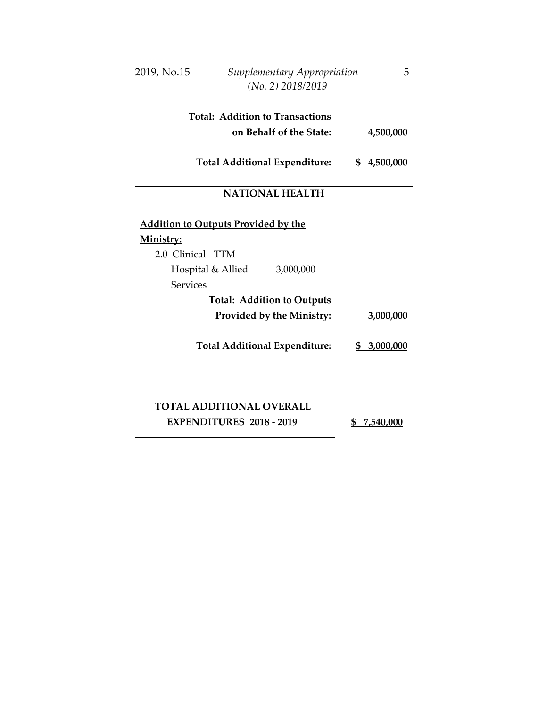| 2019, No.15                                |                   | Supplementary Appropriation<br>(No. 2) 2018/2019 | 5           |
|--------------------------------------------|-------------------|--------------------------------------------------|-------------|
|                                            |                   | <b>Total: Addition to Transactions</b>           |             |
|                                            |                   | on Behalf of the State:                          | 4,500,000   |
|                                            |                   | <b>Total Additional Expenditure:</b>             | \$4,500,000 |
|                                            |                   | <b>NATIONAL HEALTH</b>                           |             |
| <b>Addition to Outputs Provided by the</b> |                   |                                                  |             |
| Ministry:                                  |                   |                                                  |             |
| 2.0 Clinical - TTM                         |                   |                                                  |             |
|                                            | Hospital & Allied | 3,000,000                                        |             |
| <b>Services</b>                            |                   |                                                  |             |
|                                            |                   | <b>Total: Addition to Outputs</b>                |             |
|                                            |                   | Provided by the Ministry:                        | 3,000,000   |
|                                            |                   | <b>Total Additional Expenditure:</b>             | \$3,000,000 |
|                                            |                   |                                                  |             |
|                                            |                   |                                                  |             |

 **TOTAL ADDITIONAL OVERALL EXPENDITURES 2018 - 2019 \$ 7,540,000**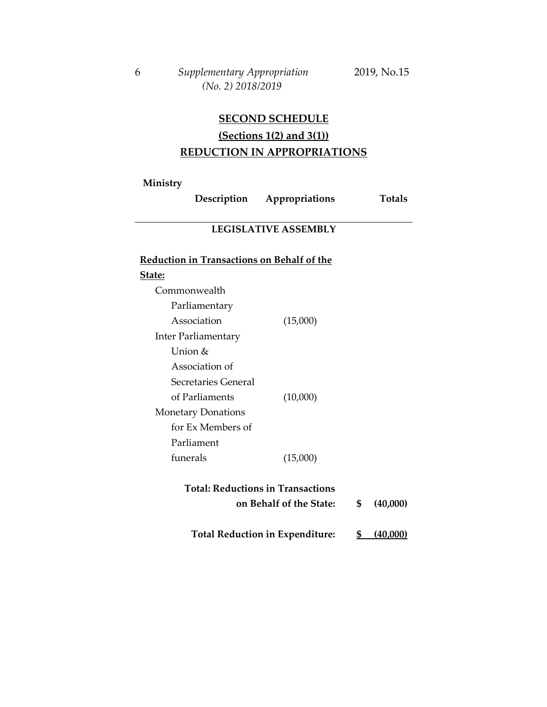# **SECOND SCHEDULE (Sections 1(2) and 3(1)) REDUCTION IN APPROPRIATIONS**

**Ministry**

| Description                                                                           | Appropriations |    | <b>Totals</b> |  |  |  |  |
|---------------------------------------------------------------------------------------|----------------|----|---------------|--|--|--|--|
| <b>LEGISLATIVE ASSEMBLY</b>                                                           |                |    |               |  |  |  |  |
| Reduction in Transactions on Behalf of the                                            |                |    |               |  |  |  |  |
| State:                                                                                |                |    |               |  |  |  |  |
| Commonwealth                                                                          |                |    |               |  |  |  |  |
| Parliamentary                                                                         |                |    |               |  |  |  |  |
| Association                                                                           | (15,000)       |    |               |  |  |  |  |
| <b>Inter Parliamentary</b>                                                            |                |    |               |  |  |  |  |
| Union &                                                                               |                |    |               |  |  |  |  |
| Association of                                                                        |                |    |               |  |  |  |  |
| Secretaries General                                                                   |                |    |               |  |  |  |  |
| of Parliaments                                                                        | (10,000)       |    |               |  |  |  |  |
| <b>Monetary Donations</b>                                                             |                |    |               |  |  |  |  |
| for Ex Members of                                                                     |                |    |               |  |  |  |  |
| Parliament                                                                            |                |    |               |  |  |  |  |
| funerals                                                                              | (15,000)       |    |               |  |  |  |  |
| <b>Total: Reductions in Transactions</b><br>on Behalf of the State:<br>\$<br>(40,000) |                |    |               |  |  |  |  |
| <b>Total Reduction in Expenditure:</b>                                                |                | \$ | (40,000)      |  |  |  |  |